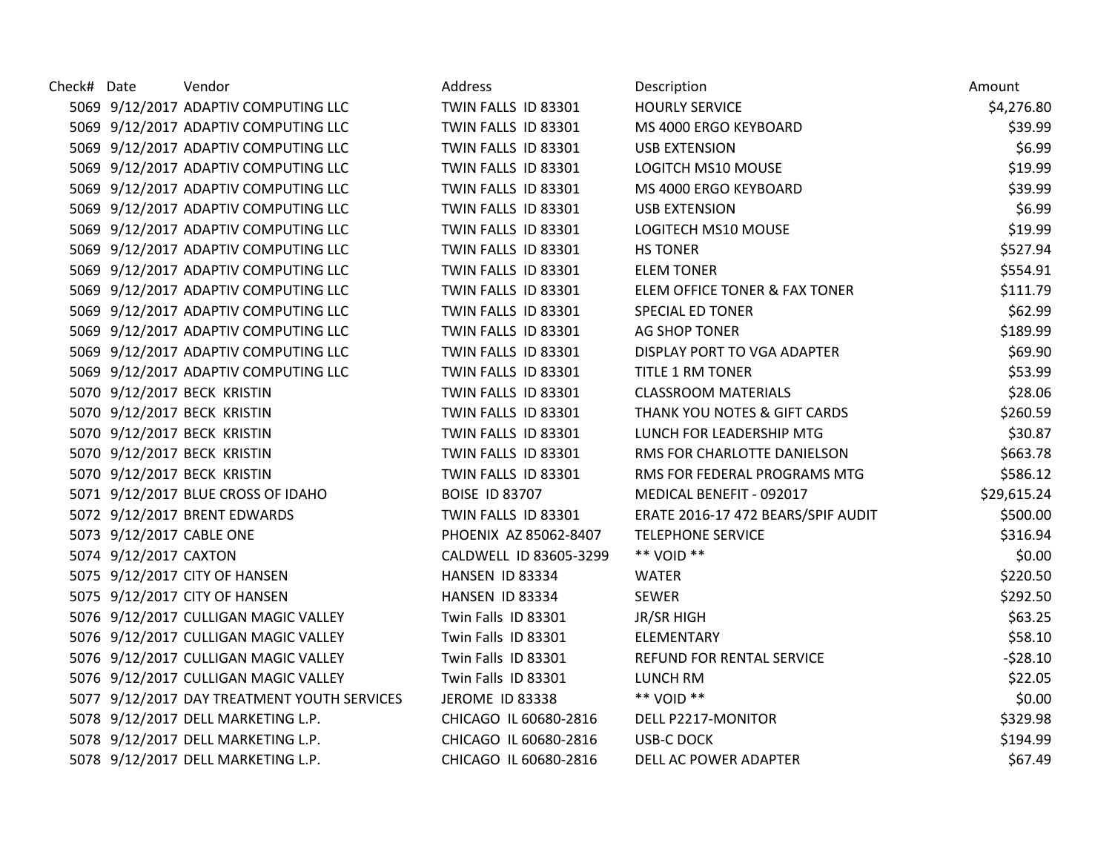| Check# Date |                       | Vendor                                      | Address                | Description                              | Amount      |
|-------------|-----------------------|---------------------------------------------|------------------------|------------------------------------------|-------------|
|             |                       | 5069 9/12/2017 ADAPTIV COMPUTING LLC        | TWIN FALLS ID 83301    | <b>HOURLY SERVICE</b>                    | \$4,276.80  |
|             |                       | 5069 9/12/2017 ADAPTIV COMPUTING LLC        | TWIN FALLS ID 83301    | MS 4000 ERGO KEYBOARD                    | \$39.99     |
|             |                       | 5069 9/12/2017 ADAPTIV COMPUTING LLC        | TWIN FALLS ID 83301    | <b>USB EXTENSION</b>                     | \$6.99      |
|             |                       | 5069 9/12/2017 ADAPTIV COMPUTING LLC        | TWIN FALLS ID 83301    | LOGITCH MS10 MOUSE                       | \$19.99     |
|             |                       | 5069 9/12/2017 ADAPTIV COMPUTING LLC        | TWIN FALLS ID 83301    | MS 4000 ERGO KEYBOARD                    | \$39.99     |
|             |                       | 5069 9/12/2017 ADAPTIV COMPUTING LLC        | TWIN FALLS ID 83301    | <b>USB EXTENSION</b>                     | \$6.99      |
|             |                       | 5069 9/12/2017 ADAPTIV COMPUTING LLC        | TWIN FALLS ID 83301    | LOGITECH MS10 MOUSE                      | \$19.99     |
|             |                       | 5069 9/12/2017 ADAPTIV COMPUTING LLC        | TWIN FALLS ID 83301    | <b>HS TONER</b>                          | \$527.94    |
|             |                       | 5069 9/12/2017 ADAPTIV COMPUTING LLC        | TWIN FALLS ID 83301    | <b>ELEM TONER</b>                        | \$554.91    |
|             |                       | 5069 9/12/2017 ADAPTIV COMPUTING LLC        | TWIN FALLS ID 83301    | <b>ELEM OFFICE TONER &amp; FAX TONER</b> | \$111.79    |
|             |                       | 5069 9/12/2017 ADAPTIV COMPUTING LLC        | TWIN FALLS ID 83301    | <b>SPECIAL ED TONER</b>                  | \$62.99     |
|             |                       | 5069 9/12/2017 ADAPTIV COMPUTING LLC        | TWIN FALLS ID 83301    | AG SHOP TONER                            | \$189.99    |
|             |                       | 5069 9/12/2017 ADAPTIV COMPUTING LLC        | TWIN FALLS ID 83301    | DISPLAY PORT TO VGA ADAPTER              | \$69.90     |
|             |                       | 5069 9/12/2017 ADAPTIV COMPUTING LLC        | TWIN FALLS ID 83301    | <b>TITLE 1 RM TONER</b>                  | \$53.99     |
|             |                       | 5070 9/12/2017 BECK KRISTIN                 | TWIN FALLS ID 83301    | <b>CLASSROOM MATERIALS</b>               | \$28.06     |
|             |                       | 5070 9/12/2017 BECK KRISTIN                 | TWIN FALLS ID 83301    | THANK YOU NOTES & GIFT CARDS             | \$260.59    |
|             |                       | 5070 9/12/2017 BECK KRISTIN                 | TWIN FALLS ID 83301    | LUNCH FOR LEADERSHIP MTG                 | \$30.87     |
|             |                       | 5070 9/12/2017 BECK KRISTIN                 | TWIN FALLS ID 83301    | RMS FOR CHARLOTTE DANIELSON              | \$663.78    |
|             |                       | 5070 9/12/2017 BECK KRISTIN                 | TWIN FALLS ID 83301    | RMS FOR FEDERAL PROGRAMS MTG             | \$586.12    |
|             |                       | 5071 9/12/2017 BLUE CROSS OF IDAHO          | <b>BOISE ID 83707</b>  | MEDICAL BENEFIT - 092017                 | \$29,615.24 |
|             |                       | 5072 9/12/2017 BRENT EDWARDS                | TWIN FALLS ID 83301    | ERATE 2016-17 472 BEARS/SPIF AUDIT       | \$500.00    |
|             |                       | 5073 9/12/2017 CABLE ONE                    | PHOENIX AZ 85062-8407  | <b>TELEPHONE SERVICE</b>                 | \$316.94    |
|             | 5074 9/12/2017 CAXTON |                                             | CALDWELL ID 83605-3299 | ** VOID **                               | \$0.00      |
|             |                       | 5075 9/12/2017 CITY OF HANSEN               | HANSEN ID 83334        | <b>WATER</b>                             | \$220.50    |
|             |                       | 5075 9/12/2017 CITY OF HANSEN               | HANSEN ID 83334        | <b>SEWER</b>                             | \$292.50    |
|             |                       | 5076 9/12/2017 CULLIGAN MAGIC VALLEY        | Twin Falls ID 83301    | JR/SR HIGH                               | \$63.25     |
|             |                       | 5076 9/12/2017 CULLIGAN MAGIC VALLEY        | Twin Falls ID 83301    | ELEMENTARY                               | \$58.10     |
|             |                       | 5076 9/12/2017 CULLIGAN MAGIC VALLEY        | Twin Falls ID 83301    | REFUND FOR RENTAL SERVICE                | $-528.10$   |
|             |                       | 5076 9/12/2017 CULLIGAN MAGIC VALLEY        | Twin Falls ID 83301    | <b>LUNCH RM</b>                          | \$22.05     |
|             |                       | 5077 9/12/2017 DAY TREATMENT YOUTH SERVICES | JEROME ID 83338        | ** VOID **                               | \$0.00      |
|             |                       | 5078 9/12/2017 DELL MARKETING L.P.          | CHICAGO IL 60680-2816  | DELL P2217-MONITOR                       | \$329.98    |
|             |                       | 5078 9/12/2017 DELL MARKETING L.P.          | CHICAGO IL 60680-2816  | <b>USB-C DOCK</b>                        | \$194.99    |
|             |                       | 5078 9/12/2017 DELL MARKETING L.P.          | CHICAGO IL 60680-2816  | DELL AC POWER ADAPTER                    | \$67.49     |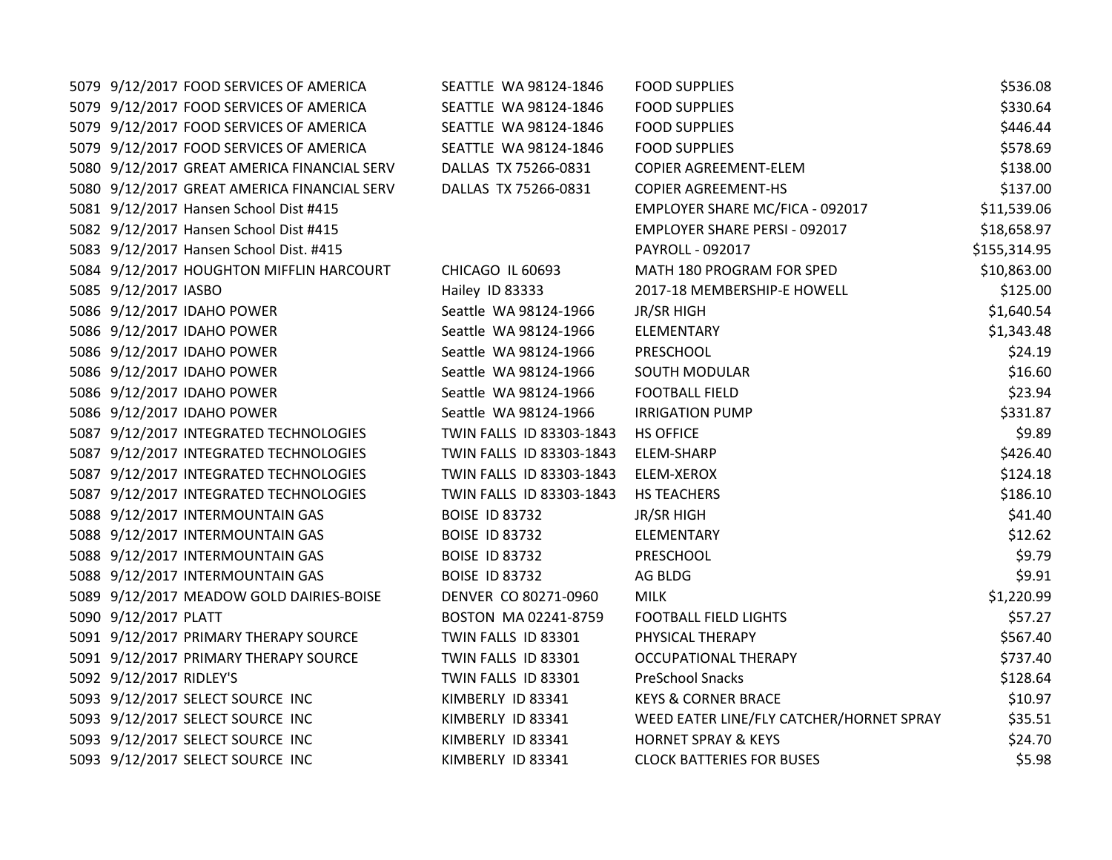| 5079 9/12/2017 FOOD SERVICES OF AMERICA     | SEATTLE WA 98124-1846    | <b>FOOD SUPPLIES</b>                     | \$536.08     |
|---------------------------------------------|--------------------------|------------------------------------------|--------------|
| 5079 9/12/2017 FOOD SERVICES OF AMERICA     | SEATTLE WA 98124-1846    | <b>FOOD SUPPLIES</b>                     | \$330.64     |
| 5079 9/12/2017 FOOD SERVICES OF AMERICA     | SEATTLE WA 98124-1846    | <b>FOOD SUPPLIES</b>                     | \$446.44     |
| 5079 9/12/2017 FOOD SERVICES OF AMERICA     | SEATTLE WA 98124-1846    | <b>FOOD SUPPLIES</b>                     | \$578.69     |
| 5080 9/12/2017 GREAT AMERICA FINANCIAL SERV | DALLAS TX 75266-0831     | <b>COPIER AGREEMENT-ELEM</b>             | \$138.00     |
| 5080 9/12/2017 GREAT AMERICA FINANCIAL SERV | DALLAS TX 75266-0831     | <b>COPIER AGREEMENT-HS</b>               | \$137.00     |
| 5081 9/12/2017 Hansen School Dist #415      |                          | EMPLOYER SHARE MC/FICA - 092017          | \$11,539.06  |
| 5082 9/12/2017 Hansen School Dist #415      |                          | EMPLOYER SHARE PERSI - 092017            | \$18,658.97  |
| 5083 9/12/2017 Hansen School Dist. #415     |                          | PAYROLL - 092017                         | \$155,314.95 |
| 5084 9/12/2017 HOUGHTON MIFFLIN HARCOURT    | CHICAGO IL 60693         | MATH 180 PROGRAM FOR SPED                | \$10,863.00  |
| 5085 9/12/2017 IASBO                        | Hailey ID 83333          | 2017-18 MEMBERSHIP-E HOWELL              | \$125.00     |
| 5086 9/12/2017 IDAHO POWER                  | Seattle WA 98124-1966    | JR/SR HIGH                               | \$1,640.54   |
| 5086 9/12/2017 IDAHO POWER                  | Seattle WA 98124-1966    | ELEMENTARY                               | \$1,343.48   |
| 5086 9/12/2017 IDAHO POWER                  | Seattle WA 98124-1966    | PRESCHOOL                                | \$24.19      |
| 5086 9/12/2017 IDAHO POWER                  | Seattle WA 98124-1966    | <b>SOUTH MODULAR</b>                     | \$16.60      |
| 5086 9/12/2017 IDAHO POWER                  | Seattle WA 98124-1966    | <b>FOOTBALL FIELD</b>                    | \$23.94      |
| 5086 9/12/2017 IDAHO POWER                  | Seattle WA 98124-1966    | <b>IRRIGATION PUMP</b>                   | \$331.87     |
| 5087 9/12/2017 INTEGRATED TECHNOLOGIES      | TWIN FALLS ID 83303-1843 | <b>HS OFFICE</b>                         | \$9.89       |
| 5087 9/12/2017 INTEGRATED TECHNOLOGIES      | TWIN FALLS ID 83303-1843 | ELEM-SHARP                               | \$426.40     |
| 5087 9/12/2017 INTEGRATED TECHNOLOGIES      | TWIN FALLS ID 83303-1843 | ELEM-XEROX                               | \$124.18     |
| 5087 9/12/2017 INTEGRATED TECHNOLOGIES      | TWIN FALLS ID 83303-1843 | HS TEACHERS                              | \$186.10     |
| 5088 9/12/2017 INTERMOUNTAIN GAS            | <b>BOISE ID 83732</b>    | <b>JR/SR HIGH</b>                        | \$41.40      |
| 5088 9/12/2017 INTERMOUNTAIN GAS            | <b>BOISE ID 83732</b>    | ELEMENTARY                               | \$12.62      |
| 5088 9/12/2017 INTERMOUNTAIN GAS            | <b>BOISE ID 83732</b>    | PRESCHOOL                                | \$9.79       |
| 5088 9/12/2017 INTERMOUNTAIN GAS            | <b>BOISE ID 83732</b>    | AG BLDG                                  | \$9.91       |
| 5089 9/12/2017 MEADOW GOLD DAIRIES-BOISE    | DENVER CO 80271-0960     | <b>MILK</b>                              | \$1,220.99   |
| 5090 9/12/2017 PLATT                        | BOSTON MA 02241-8759     | <b>FOOTBALL FIELD LIGHTS</b>             | \$57.27      |
| 5091 9/12/2017 PRIMARY THERAPY SOURCE       | TWIN FALLS ID 83301      | PHYSICAL THERAPY                         | \$567.40     |
| 5091 9/12/2017 PRIMARY THERAPY SOURCE       | TWIN FALLS ID 83301      | <b>OCCUPATIONAL THERAPY</b>              | \$737.40     |
| 5092 9/12/2017 RIDLEY'S                     | TWIN FALLS ID 83301      | PreSchool Snacks                         | \$128.64     |
| 5093 9/12/2017 SELECT SOURCE INC            | KIMBERLY ID 83341        | <b>KEYS &amp; CORNER BRACE</b>           | \$10.97      |
| 5093 9/12/2017 SELECT SOURCE INC            | KIMBERLY ID 83341        | WEED EATER LINE/FLY CATCHER/HORNET SPRAY | \$35.51      |
| 5093 9/12/2017 SELECT SOURCE INC            | KIMBERLY ID 83341        | <b>HORNET SPRAY &amp; KEYS</b>           | \$24.70      |
| 5093 9/12/2017 SELECT SOURCE INC            | KIMBERLY ID 83341        | <b>CLOCK BATTERIES FOR BUSES</b>         | \$5.98       |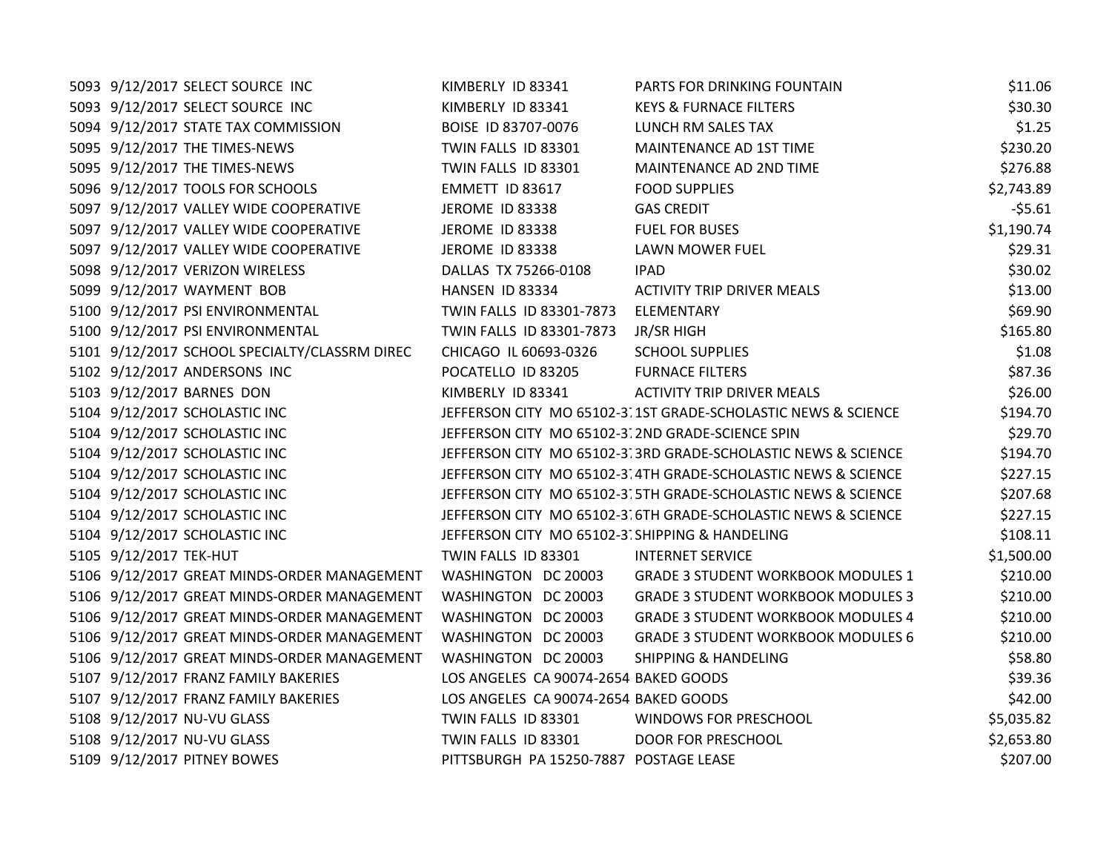| 5093 9/12/2017 SELECT SOURCE INC                                | KIMBERLY ID 83341                                | PARTS FOR DRINKING FOUNTAIN                                   | \$11.06    |
|-----------------------------------------------------------------|--------------------------------------------------|---------------------------------------------------------------|------------|
| 5093 9/12/2017 SELECT SOURCE INC                                | KIMBERLY ID 83341                                | <b>KEYS &amp; FURNACE FILTERS</b>                             | \$30.30    |
| 5094 9/12/2017 STATE TAX COMMISSION                             | BOISE ID 83707-0076                              | LUNCH RM SALES TAX                                            | \$1.25     |
| 5095 9/12/2017 THE TIMES-NEWS                                   | TWIN FALLS ID 83301                              | MAINTENANCE AD 1ST TIME                                       | \$230.20   |
| 5095 9/12/2017 THE TIMES-NEWS                                   | TWIN FALLS ID 83301                              | MAINTENANCE AD 2ND TIME                                       | \$276.88   |
| 5096 9/12/2017 TOOLS FOR SCHOOLS                                | EMMETT ID 83617                                  | <b>FOOD SUPPLIES</b>                                          | \$2,743.89 |
| 5097 9/12/2017 VALLEY WIDE COOPERATIVE                          | JEROME ID 83338                                  | <b>GAS CREDIT</b>                                             | $-55.61$   |
| 5097 9/12/2017 VALLEY WIDE COOPERATIVE                          | JEROME ID 83338                                  | <b>FUEL FOR BUSES</b>                                         | \$1,190.74 |
| 5097 9/12/2017 VALLEY WIDE COOPERATIVE                          | JEROME ID 83338                                  | LAWN MOWER FUEL                                               | \$29.31    |
| 5098 9/12/2017 VERIZON WIRELESS                                 | DALLAS TX 75266-0108                             | <b>IPAD</b>                                                   | \$30.02    |
| 5099 9/12/2017 WAYMENT BOB                                      | HANSEN ID 83334                                  | <b>ACTIVITY TRIP DRIVER MEALS</b>                             | \$13.00    |
| 5100 9/12/2017 PSI ENVIRONMENTAL                                | TWIN FALLS ID 83301-7873 ELEMENTARY              |                                                               | \$69.90    |
| 5100 9/12/2017 PSI ENVIRONMENTAL                                | TWIN FALLS ID 83301-7873                         | JR/SR HIGH                                                    | \$165.80   |
| 5101 9/12/2017 SCHOOL SPECIALTY/CLASSRM DIREC                   | CHICAGO IL 60693-0326                            | <b>SCHOOL SUPPLIES</b>                                        | \$1.08     |
| 5102 9/12/2017 ANDERSONS INC                                    | POCATELLO ID 83205                               | <b>FURNACE FILTERS</b>                                        | \$87.36    |
| 5103 9/12/2017 BARNES DON                                       | KIMBERLY ID 83341                                | <b>ACTIVITY TRIP DRIVER MEALS</b>                             | \$26.00    |
| 5104 9/12/2017 SCHOLASTIC INC                                   |                                                  | JEFFERSON CITY MO 65102-3.1ST GRADE-SCHOLASTIC NEWS & SCIENCE | \$194.70   |
| 5104 9/12/2017 SCHOLASTIC INC                                   | JEFFERSON CITY MO 65102-3.2ND GRADE-SCIENCE SPIN |                                                               | \$29.70    |
| 5104 9/12/2017 SCHOLASTIC INC                                   |                                                  | JEFFERSON CITY MO 65102-3.3RD GRADE-SCHOLASTIC NEWS & SCIENCE | \$194.70   |
| 5104 9/12/2017 SCHOLASTIC INC                                   |                                                  | JEFFERSON CITY MO 65102-3.4TH GRADE-SCHOLASTIC NEWS & SCIENCE | \$227.15   |
| 5104 9/12/2017 SCHOLASTIC INC                                   |                                                  | JEFFERSON CITY MO 65102-3.5TH GRADE-SCHOLASTIC NEWS & SCIENCE | \$207.68   |
| 5104 9/12/2017 SCHOLASTIC INC                                   |                                                  | JEFFERSON CITY MO 65102-3.6TH GRADE-SCHOLASTIC NEWS & SCIENCE | \$227.15   |
| 5104 9/12/2017 SCHOLASTIC INC                                   | JEFFERSON CITY MO 65102-3. SHIPPING & HANDELING  |                                                               | \$108.11   |
| 5105 9/12/2017 TEK-HUT                                          | TWIN FALLS ID 83301                              | <b>INTERNET SERVICE</b>                                       | \$1,500.00 |
| 5106 9/12/2017 GREAT MINDS-ORDER MANAGEMENT WASHINGTON DC 20003 |                                                  | <b>GRADE 3 STUDENT WORKBOOK MODULES 1</b>                     | \$210.00   |
| 5106 9/12/2017 GREAT MINDS-ORDER MANAGEMENT                     | WASHINGTON DC 20003                              | <b>GRADE 3 STUDENT WORKBOOK MODULES 3</b>                     | \$210.00   |
| 5106 9/12/2017 GREAT MINDS-ORDER MANAGEMENT                     | WASHINGTON DC 20003                              | <b>GRADE 3 STUDENT WORKBOOK MODULES 4</b>                     | \$210.00   |
| 5106 9/12/2017 GREAT MINDS-ORDER MANAGEMENT                     | WASHINGTON DC 20003                              | <b>GRADE 3 STUDENT WORKBOOK MODULES 6</b>                     | \$210.00   |
| 5106 9/12/2017 GREAT MINDS-ORDER MANAGEMENT                     | WASHINGTON DC 20003                              | <b>SHIPPING &amp; HANDELING</b>                               | \$58.80    |
| 5107 9/12/2017 FRANZ FAMILY BAKERIES                            | LOS ANGELES CA 90074-2654 BAKED GOODS            |                                                               | \$39.36    |
| 5107 9/12/2017 FRANZ FAMILY BAKERIES                            | LOS ANGELES CA 90074-2654 BAKED GOODS            |                                                               | \$42.00    |
| 5108 9/12/2017 NU-VU GLASS                                      | TWIN FALLS ID 83301                              | <b>WINDOWS FOR PRESCHOOL</b>                                  | \$5,035.82 |
| 5108 9/12/2017 NU-VU GLASS                                      | TWIN FALLS ID 83301                              | <b>DOOR FOR PRESCHOOL</b>                                     | \$2,653.80 |
| 5109 9/12/2017 PITNEY BOWES                                     | PITTSBURGH PA 15250-7887 POSTAGE LEASE           |                                                               | \$207.00   |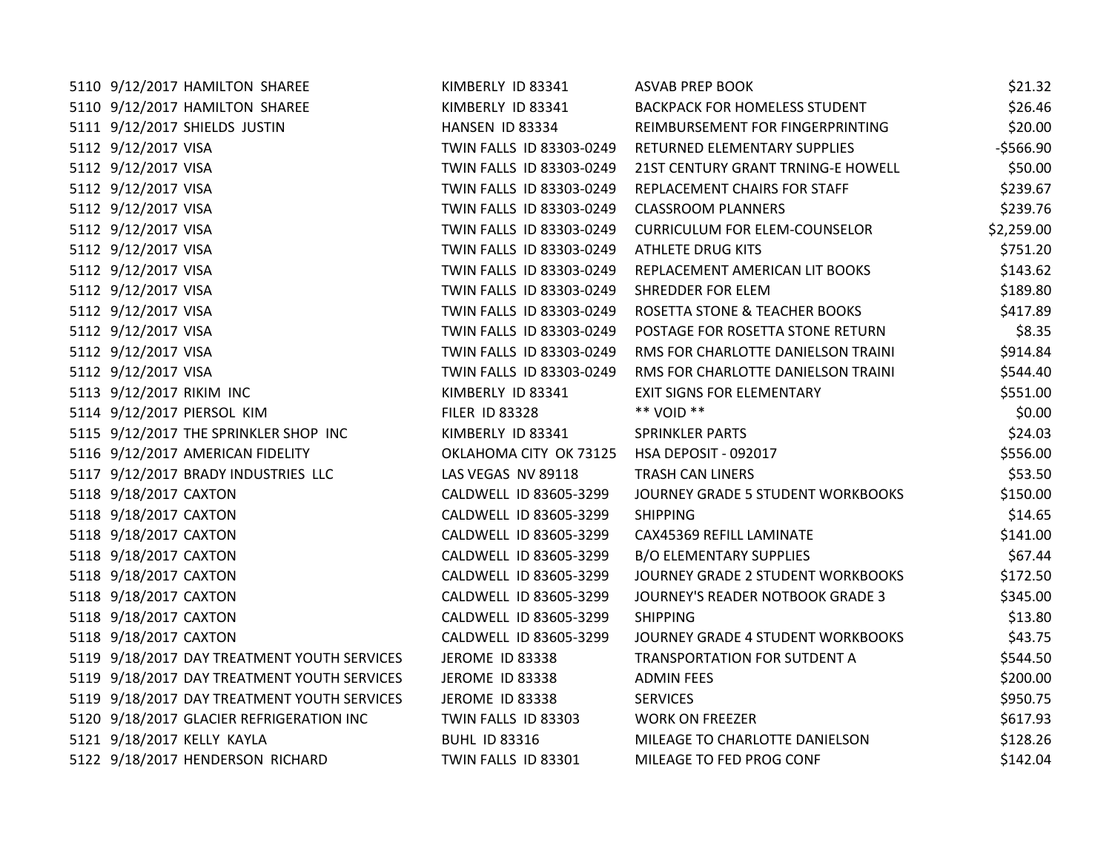| 5110 9/12/2017 HAMILTON SHAREE              | KIMBERLY ID 83341        | <b>ASVAB PREP BOOK</b>               | \$21.32    |
|---------------------------------------------|--------------------------|--------------------------------------|------------|
| 5110 9/12/2017 HAMILTON SHAREE              | KIMBERLY ID 83341        | <b>BACKPACK FOR HOMELESS STUDENT</b> | \$26.46    |
| 5111 9/12/2017 SHIELDS JUSTIN               | HANSEN ID 83334          | REIMBURSEMENT FOR FINGERPRINTING     | \$20.00    |
| 5112 9/12/2017 VISA                         | TWIN FALLS ID 83303-0249 | RETURNED ELEMENTARY SUPPLIES         | $-5566.90$ |
| 5112 9/12/2017 VISA                         | TWIN FALLS ID 83303-0249 | 21ST CENTURY GRANT TRNING-E HOWELL   | \$50.00    |
| 5112 9/12/2017 VISA                         | TWIN FALLS ID 83303-0249 | REPLACEMENT CHAIRS FOR STAFF         | \$239.67   |
| 5112 9/12/2017 VISA                         | TWIN FALLS ID 83303-0249 | <b>CLASSROOM PLANNERS</b>            | \$239.76   |
| 5112 9/12/2017 VISA                         | TWIN FALLS ID 83303-0249 | <b>CURRICULUM FOR ELEM-COUNSELOR</b> | \$2,259.00 |
| 5112 9/12/2017 VISA                         | TWIN FALLS ID 83303-0249 | <b>ATHLETE DRUG KITS</b>             | \$751.20   |
| 5112 9/12/2017 VISA                         | TWIN FALLS ID 83303-0249 | REPLACEMENT AMERICAN LIT BOOKS       | \$143.62   |
| 5112 9/12/2017 VISA                         | TWIN FALLS ID 83303-0249 | <b>SHREDDER FOR ELEM</b>             | \$189.80   |
| 5112 9/12/2017 VISA                         | TWIN FALLS ID 83303-0249 | ROSETTA STONE & TEACHER BOOKS        | \$417.89   |
| 5112 9/12/2017 VISA                         | TWIN FALLS ID 83303-0249 | POSTAGE FOR ROSETTA STONE RETURN     | \$8.35     |
| 5112 9/12/2017 VISA                         | TWIN FALLS ID 83303-0249 | RMS FOR CHARLOTTE DANIELSON TRAINI   | \$914.84   |
| 5112 9/12/2017 VISA                         | TWIN FALLS ID 83303-0249 | RMS FOR CHARLOTTE DANIELSON TRAINI   | \$544.40   |
| 5113 9/12/2017 RIKIM INC                    | KIMBERLY ID 83341        | <b>EXIT SIGNS FOR ELEMENTARY</b>     | \$551.00   |
| 5114 9/12/2017 PIERSOL KIM                  | <b>FILER ID 83328</b>    | ** VOID **                           | \$0.00     |
| 5115 9/12/2017 THE SPRINKLER SHOP INC       | KIMBERLY ID 83341        | <b>SPRINKLER PARTS</b>               | \$24.03    |
| 5116 9/12/2017 AMERICAN FIDELITY            | OKLAHOMA CITY OK 73125   | HSA DEPOSIT - 092017                 | \$556.00   |
| 5117 9/12/2017 BRADY INDUSTRIES LLC         | LAS VEGAS NV 89118       | <b>TRASH CAN LINERS</b>              | \$53.50    |
| 5118 9/18/2017 CAXTON                       | CALDWELL ID 83605-3299   | JOURNEY GRADE 5 STUDENT WORKBOOKS    | \$150.00   |
| 5118 9/18/2017 CAXTON                       | CALDWELL ID 83605-3299   | <b>SHIPPING</b>                      | \$14.65    |
| 5118 9/18/2017 CAXTON                       | CALDWELL ID 83605-3299   | CAX45369 REFILL LAMINATE             | \$141.00   |
| 5118 9/18/2017 CAXTON                       | CALDWELL ID 83605-3299   | <b>B/O ELEMENTARY SUPPLIES</b>       | \$67.44    |
| 5118 9/18/2017 CAXTON                       | CALDWELL ID 83605-3299   | JOURNEY GRADE 2 STUDENT WORKBOOKS    | \$172.50   |
| 5118 9/18/2017 CAXTON                       | CALDWELL ID 83605-3299   | JOURNEY'S READER NOTBOOK GRADE 3     | \$345.00   |
| 5118 9/18/2017 CAXTON                       | CALDWELL ID 83605-3299   | <b>SHIPPING</b>                      | \$13.80    |
| 5118 9/18/2017 CAXTON                       | CALDWELL ID 83605-3299   | JOURNEY GRADE 4 STUDENT WORKBOOKS    | \$43.75    |
| 5119 9/18/2017 DAY TREATMENT YOUTH SERVICES | JEROME ID 83338          | TRANSPORTATION FOR SUTDENT A         | \$544.50   |
| 5119 9/18/2017 DAY TREATMENT YOUTH SERVICES | <b>JEROME ID 83338</b>   | <b>ADMIN FEES</b>                    | \$200.00   |
| 5119 9/18/2017 DAY TREATMENT YOUTH SERVICES | JEROME ID 83338          | <b>SERVICES</b>                      | \$950.75   |
| 5120 9/18/2017 GLACIER REFRIGERATION INC    | TWIN FALLS ID 83303      | <b>WORK ON FREEZER</b>               | \$617.93   |
| 5121 9/18/2017 KELLY KAYLA                  | <b>BUHL ID 83316</b>     | MILEAGE TO CHARLOTTE DANIELSON       | \$128.26   |
| 5122 9/18/2017 HENDERSON RICHARD            | TWIN FALLS ID 83301      | MILEAGE TO FED PROG CONF             | \$142.04   |